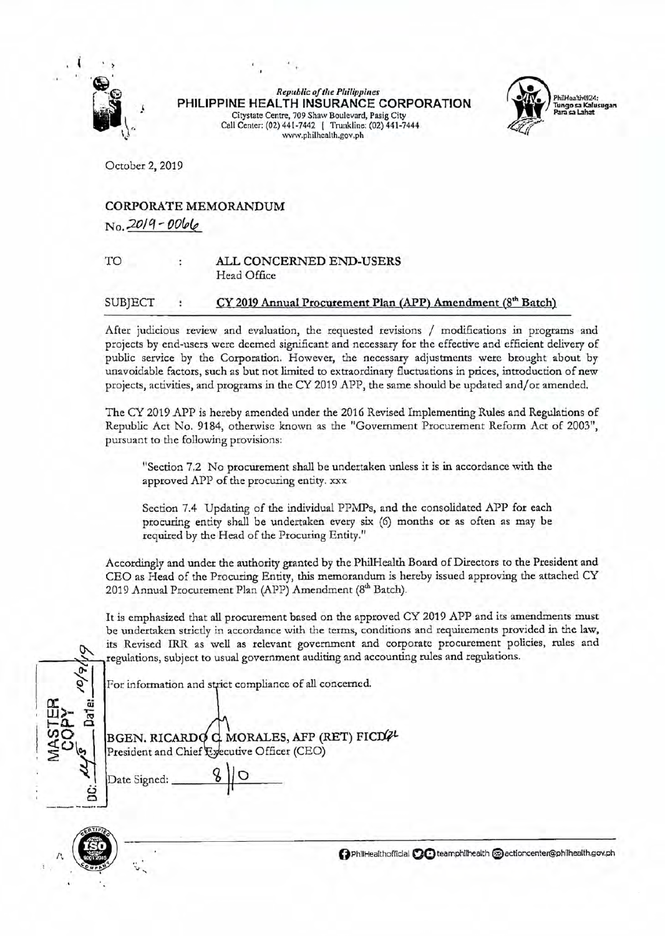

*Republic oftlze Pllilippiues*  **PHILIPPINE HEALTH INSURANCE CORPORATION**  Citystatc Centre, 709 Shaw Boulevard, Pasig City Call Center: (02) 441-7442 I Trunkline: (02) 441-7444 www.phi1health.gov.ph



October 2, 2019

## CORPORATE MEMORANDUM *No.* 2019 - 0066

## TO ALL CONCERNED END-USERS Head Office

## $SUB|ECT$  :  $CY 2019$  Annual Procurement Plan (APP) Amendment ( $8<sup>th</sup>$  Batch)

After judicious review and evaluation, the requested revisions / modifications in programs and projects by end-users were deemed significant and necessary for the effective and efficient delivery of public service by the Corporation. However, the necessary adjustments were brought about by unavoidable factors, such as but not limited to extraordinary fluctuations in prices, introduction of new projects, activities, and programs in the CY 2019 APP, the same should be updated and/or amended.

The CY 2019 APP is hereby amended under the 2016 Revised Implementing Rules and Regulations of Republic Act No. 9184, otherwise known as the "Government Procurement Reform Act of 2003", pursuant to the following provisions:

"Section 7.2 No procurement shall be undertaken unless it is in accordance with the approved APP of the procuring entity. xxx

Section 7.4 Updating of the individual PPMPs, and the consolidated APP for each procuring entity shall be undertaken every six (6) months or as often as may be required by the Head of the Procuring Entity."

Accordingly and under the authority granted by the PhilHealth Board of Directors to the President and CEO as Head of the Procuring Entity, this memorandum is hereby issued approving the attached CY 2019 Annual Procurement Plan (APP) Amendment (8<sup>th</sup> Batch).

It is emphasized that all procurement based on the approved CY 2019 APP and its amendments must be undertaken strictly in accordance with the terms, conditions and requirements provided in the law, wits Revised IRR as well as relevant government and corporate procurement policies, rules and regulations, subject to usual government auditing and accounting rules and regulations.

For information and strict compliance of all concerned.

 $\frac{16}{6}$  $\int \frac{dx}{y}$   $dx$ ' **UJ)-** <sup>~</sup>**!-0... a**   $\sum_{i=1}^{n}$  Date Signed:  $\frac{8}{10}$  $\epsilon$ 





**0** PhiiHealthofficlal **QO** teamphllhealth (§) actioncenter@phifhealth.gov.ph